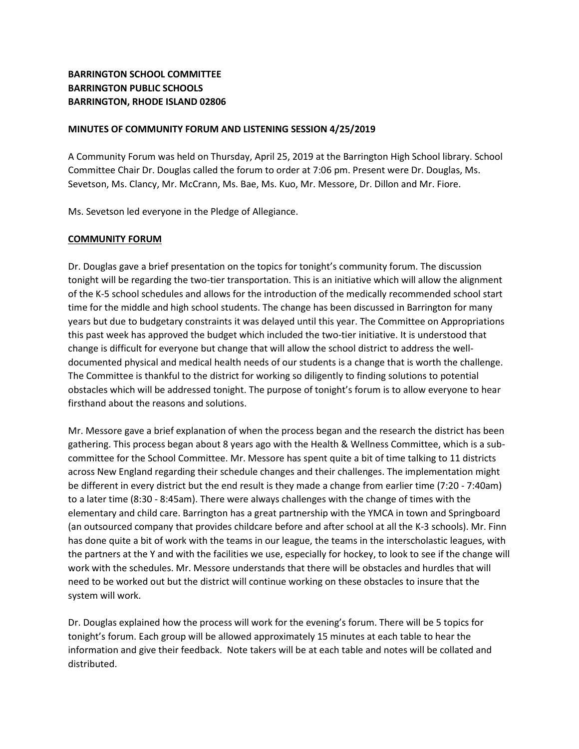# **BARRINGTON SCHOOL COMMITTEE BARRINGTON PUBLIC SCHOOLS BARRINGTON, RHODE ISLAND 02806**

#### **MINUTES OF COMMUNITY FORUM AND LISTENING SESSION 4/25/2019**

A Community Forum was held on Thursday, April 25, 2019 at the Barrington High School library. School Committee Chair Dr. Douglas called the forum to order at 7:06 pm. Present were Dr. Douglas, Ms. Sevetson, Ms. Clancy, Mr. McCrann, Ms. Bae, Ms. Kuo, Mr. Messore, Dr. Dillon and Mr. Fiore.

Ms. Sevetson led everyone in the Pledge of Allegiance.

#### **COMMUNITY FORUM**

Dr. Douglas gave a brief presentation on the topics for tonight's community forum. The discussion tonight will be regarding the two-tier transportation. This is an initiative which will allow the alignment of the K-5 school schedules and allows for the introduction of the medically recommended school start time for the middle and high school students. The change has been discussed in Barrington for many years but due to budgetary constraints it was delayed until this year. The Committee on Appropriations this past week has approved the budget which included the two-tier initiative. It is understood that change is difficult for everyone but change that will allow the school district to address the welldocumented physical and medical health needs of our students is a change that is worth the challenge. The Committee is thankful to the district for working so diligently to finding solutions to potential obstacles which will be addressed tonight. The purpose of tonight's forum is to allow everyone to hear firsthand about the reasons and solutions.

Mr. Messore gave a brief explanation of when the process began and the research the district has been gathering. This process began about 8 years ago with the Health & Wellness Committee, which is a subcommittee for the School Committee. Mr. Messore has spent quite a bit of time talking to 11 districts across New England regarding their schedule changes and their challenges. The implementation might be different in every district but the end result is they made a change from earlier time (7:20 - 7:40am) to a later time (8:30 - 8:45am). There were always challenges with the change of times with the elementary and child care. Barrington has a great partnership with the YMCA in town and Springboard (an outsourced company that provides childcare before and after school at all the K-3 schools). Mr. Finn has done quite a bit of work with the teams in our league, the teams in the interscholastic leagues, with the partners at the Y and with the facilities we use, especially for hockey, to look to see if the change will work with the schedules. Mr. Messore understands that there will be obstacles and hurdles that will need to be worked out but the district will continue working on these obstacles to insure that the system will work.

Dr. Douglas explained how the process will work for the evening's forum. There will be 5 topics for tonight's forum. Each group will be allowed approximately 15 minutes at each table to hear the information and give their feedback. Note takers will be at each table and notes will be collated and distributed.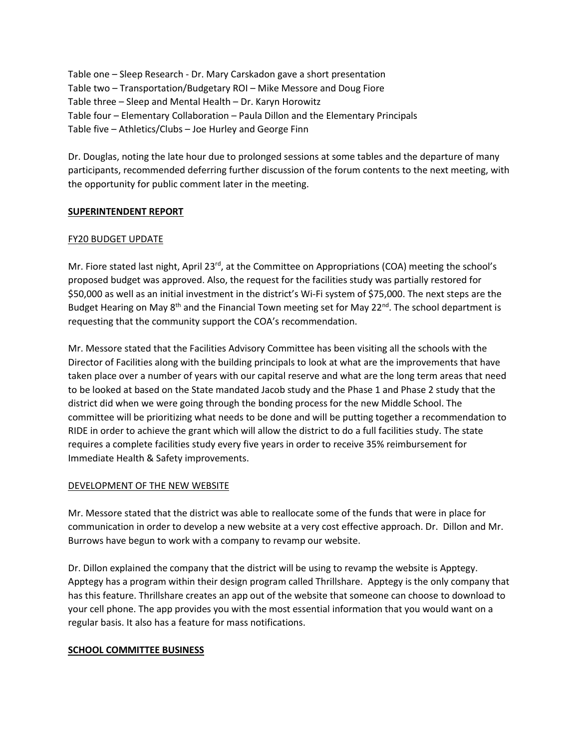Table one – Sleep Research - Dr. Mary Carskadon gave a short presentation Table two – Transportation/Budgetary ROI – Mike Messore and Doug Fiore Table three – Sleep and Mental Health – Dr. Karyn Horowitz Table four – Elementary Collaboration – Paula Dillon and the Elementary Principals Table five – Athletics/Clubs – Joe Hurley and George Finn

Dr. Douglas, noting the late hour due to prolonged sessions at some tables and the departure of many participants, recommended deferring further discussion of the forum contents to the next meeting, with the opportunity for public comment later in the meeting.

## **SUPERINTENDENT REPORT**

## FY20 BUDGET UPDATE

Mr. Fiore stated last night, April 23<sup>rd</sup>, at the Committee on Appropriations (COA) meeting the school's proposed budget was approved. Also, the request for the facilities study was partially restored for \$50,000 as well as an initial investment in the district's Wi-Fi system of \$75,000. The next steps are the Budget Hearing on May 8<sup>th</sup> and the Financial Town meeting set for May 22<sup>nd</sup>. The school department is requesting that the community support the COA's recommendation.

Mr. Messore stated that the Facilities Advisory Committee has been visiting all the schools with the Director of Facilities along with the building principals to look at what are the improvements that have taken place over a number of years with our capital reserve and what are the long term areas that need to be looked at based on the State mandated Jacob study and the Phase 1 and Phase 2 study that the district did when we were going through the bonding process for the new Middle School. The committee will be prioritizing what needs to be done and will be putting together a recommendation to RIDE in order to achieve the grant which will allow the district to do a full facilities study. The state requires a complete facilities study every five years in order to receive 35% reimbursement for Immediate Health & Safety improvements.

## DEVELOPMENT OF THE NEW WEBSITE

Mr. Messore stated that the district was able to reallocate some of the funds that were in place for communication in order to develop a new website at a very cost effective approach. Dr. Dillon and Mr. Burrows have begun to work with a company to revamp our website.

Dr. Dillon explained the company that the district will be using to revamp the website is Apptegy. Apptegy has a program within their design program called Thrillshare. Apptegy is the only company that has this feature. Thrillshare creates an app out of the website that someone can choose to download to your cell phone. The app provides you with the most essential information that you would want on a regular basis. It also has a feature for mass notifications.

## **SCHOOL COMMITTEE BUSINESS**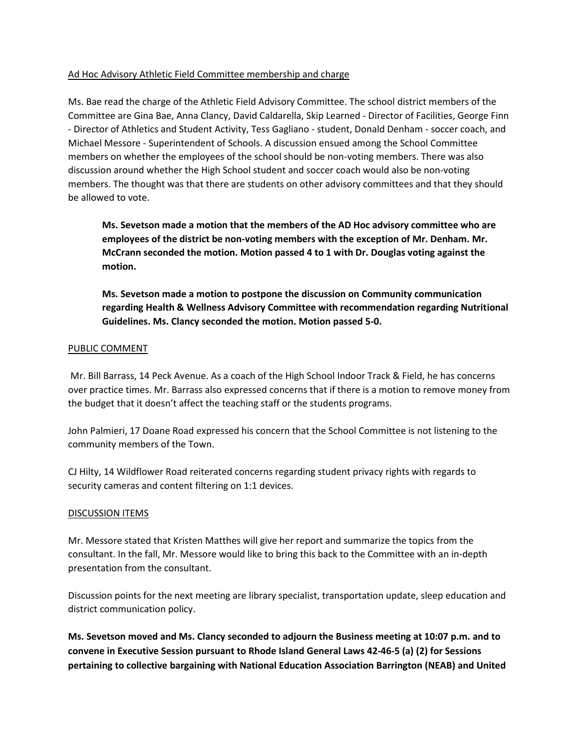## Ad Hoc Advisory Athletic Field Committee membership and charge

Ms. Bae read the charge of the Athletic Field Advisory Committee. The school district members of the Committee are Gina Bae, Anna Clancy, David Caldarella, Skip Learned - Director of Facilities, George Finn - Director of Athletics and Student Activity, Tess Gagliano - student, Donald Denham - soccer coach, and Michael Messore - Superintendent of Schools. A discussion ensued among the School Committee members on whether the employees of the school should be non-voting members. There was also discussion around whether the High School student and soccer coach would also be non-voting members. The thought was that there are students on other advisory committees and that they should be allowed to vote.

**Ms. Sevetson made a motion that the members of the AD Hoc advisory committee who are employees of the district be non-voting members with the exception of Mr. Denham. Mr. McCrann seconded the motion. Motion passed 4 to 1 with Dr. Douglas voting against the motion.**

**Ms. Sevetson made a motion to postpone the discussion on Community communication regarding Health & Wellness Advisory Committee with recommendation regarding Nutritional Guidelines. Ms. Clancy seconded the motion. Motion passed 5-0.**

#### PUBLIC COMMENT

Mr. Bill Barrass, 14 Peck Avenue. As a coach of the High School Indoor Track & Field, he has concerns over practice times. Mr. Barrass also expressed concerns that if there is a motion to remove money from the budget that it doesn't affect the teaching staff or the students programs.

John Palmieri, 17 Doane Road expressed his concern that the School Committee is not listening to the community members of the Town.

CJ Hilty, 14 Wildflower Road reiterated concerns regarding student privacy rights with regards to security cameras and content filtering on 1:1 devices.

#### DISCUSSION ITEMS

Mr. Messore stated that Kristen Matthes will give her report and summarize the topics from the consultant. In the fall, Mr. Messore would like to bring this back to the Committee with an in-depth presentation from the consultant.

Discussion points for the next meeting are library specialist, transportation update, sleep education and district communication policy.

**Ms. Sevetson moved and Ms. Clancy seconded to adjourn the Business meeting at 10:07 p.m. and to convene in Executive Session pursuant to Rhode Island General Laws 42-46-5 (a) (2) for Sessions pertaining to collective bargaining with National Education Association Barrington (NEAB) and United**